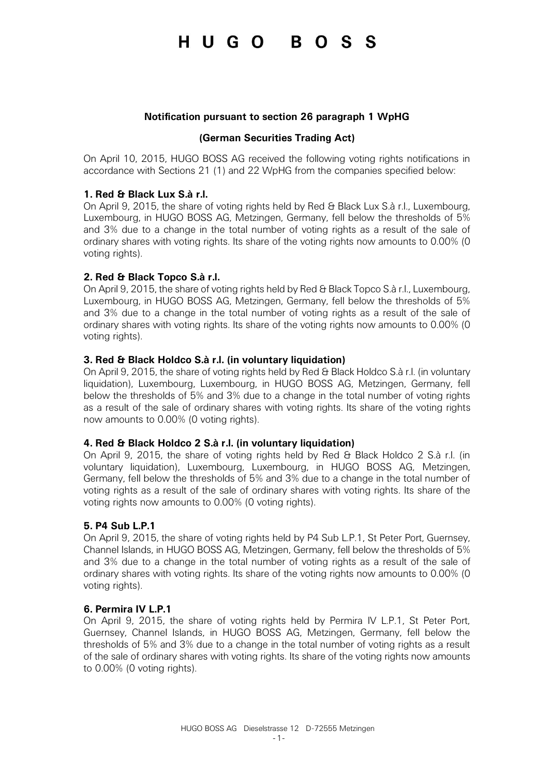# HUGO BOSS

#### **Notification pursuant to section 26 paragraph 1 WpHG**

#### **(German Securities Trading Act)**

On April 10, 2015, HUGO BOSS AG received the following voting rights notifications in accordance with Sections 21 (1) and 22 WpHG from the companies specified below:

#### **1. Red & Black Lux S.à r.l.**

On April 9, 2015, the share of voting rights held by Red & Black Lux S.à r.l., Luxembourg, Luxembourg, in HUGO BOSS AG, Metzingen, Germany, fell below the thresholds of 5% and 3% due to a change in the total number of voting rights as a result of the sale of ordinary shares with voting rights. Its share of the voting rights now amounts to 0.00% (0 voting rights).

## **2. Red & Black Topco S.à r.l.**

On April 9, 2015, the share of voting rights held by Red & Black Topco S.à r.l., Luxembourg, Luxembourg, in HUGO BOSS AG, Metzingen, Germany, fell below the thresholds of 5% and 3% due to a change in the total number of voting rights as a result of the sale of ordinary shares with voting rights. Its share of the voting rights now amounts to 0.00% (0 voting rights).

## **3. Red & Black Holdco S.à r.l. (in voluntary liquidation)**

On April 9, 2015, the share of voting rights held by Red & Black Holdco S.à r.l. (in voluntary liquidation), Luxembourg, Luxembourg, in HUGO BOSS AG, Metzingen, Germany, fell below the thresholds of 5% and 3% due to a change in the total number of voting rights as a result of the sale of ordinary shares with voting rights. Its share of the voting rights now amounts to 0.00% (0 voting rights).

#### **4. Red & Black Holdco 2 S.à r.l. (in voluntary liquidation)**

On April 9, 2015, the share of voting rights held by Red & Black Holdco 2 S.à r.l. (in voluntary liquidation), Luxembourg, Luxembourg, in HUGO BOSS AG, Metzingen, Germany, fell below the thresholds of 5% and 3% due to a change in the total number of voting rights as a result of the sale of ordinary shares with voting rights. Its share of the voting rights now amounts to 0.00% (0 voting rights).

#### **5. P4 Sub L.P.1**

On April 9, 2015, the share of voting rights held by P4 Sub L.P.1, St Peter Port, Guernsey, Channel Islands, in HUGO BOSS AG, Metzingen, Germany, fell below the thresholds of 5% and 3% due to a change in the total number of voting rights as a result of the sale of ordinary shares with voting rights. Its share of the voting rights now amounts to 0.00% (0 voting rights).

#### **6. Permira IV L.P.1**

On April 9, 2015, the share of voting rights held by Permira IV L.P.1, St Peter Port, Guernsey, Channel Islands, in HUGO BOSS AG, Metzingen, Germany, fell below the thresholds of 5% and 3% due to a change in the total number of voting rights as a result of the sale of ordinary shares with voting rights. Its share of the voting rights now amounts to 0.00% (0 voting rights).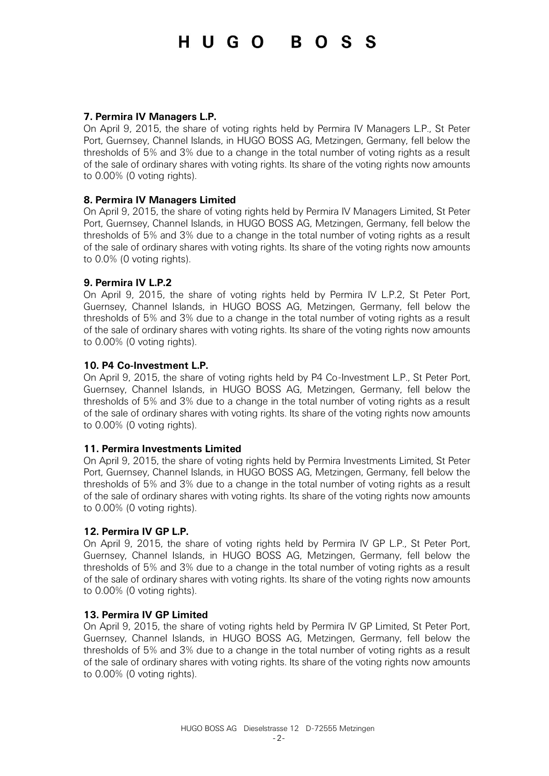# HUGO BOSS

#### **7. Permira IV Managers L.P.**

On April 9, 2015, the share of voting rights held by Permira IV Managers L.P., St Peter Port, Guernsey, Channel Islands, in HUGO BOSS AG, Metzingen, Germany, fell below the thresholds of 5% and 3% due to a change in the total number of voting rights as a result of the sale of ordinary shares with voting rights. Its share of the voting rights now amounts to 0.00% (0 voting rights).

## **8. Permira IV Managers Limited**

On April 9, 2015, the share of voting rights held by Permira IV Managers Limited, St Peter Port, Guernsey, Channel Islands, in HUGO BOSS AG, Metzingen, Germany, fell below the thresholds of 5% and 3% due to a change in the total number of voting rights as a result of the sale of ordinary shares with voting rights. Its share of the voting rights now amounts to 0.0% (0 voting rights).

## **9. Permira IV L.P.2**

On April 9, 2015, the share of voting rights held by Permira IV L.P.2, St Peter Port, Guernsey, Channel Islands, in HUGO BOSS AG, Metzingen, Germany, fell below the thresholds of 5% and 3% due to a change in the total number of voting rights as a result of the sale of ordinary shares with voting rights. Its share of the voting rights now amounts to 0.00% (0 voting rights).

## **10. P4 Co-Investment L.P.**

On April 9, 2015, the share of voting rights held by P4 Co-Investment L.P., St Peter Port, Guernsey, Channel Islands, in HUGO BOSS AG, Metzingen, Germany, fell below the thresholds of 5% and 3% due to a change in the total number of voting rights as a result of the sale of ordinary shares with voting rights. Its share of the voting rights now amounts to 0.00% (0 voting rights).

#### **11. Permira Investments Limited**

On April 9, 2015, the share of voting rights held by Permira Investments Limited, St Peter Port, Guernsey, Channel Islands, in HUGO BOSS AG, Metzingen, Germany, fell below the thresholds of 5% and 3% due to a change in the total number of voting rights as a result of the sale of ordinary shares with voting rights. Its share of the voting rights now amounts to 0.00% (0 voting rights).

#### **12. Permira IV GP L.P.**

On April 9, 2015, the share of voting rights held by Permira IV GP L.P., St Peter Port, Guernsey, Channel Islands, in HUGO BOSS AG, Metzingen, Germany, fell below the thresholds of 5% and 3% due to a change in the total number of voting rights as a result of the sale of ordinary shares with voting rights. Its share of the voting rights now amounts to 0.00% (0 voting rights).

#### **13. Permira IV GP Limited**

On April 9, 2015, the share of voting rights held by Permira IV GP Limited, St Peter Port, Guernsey, Channel Islands, in HUGO BOSS AG, Metzingen, Germany, fell below the thresholds of 5% and 3% due to a change in the total number of voting rights as a result of the sale of ordinary shares with voting rights. Its share of the voting rights now amounts to 0.00% (0 voting rights).